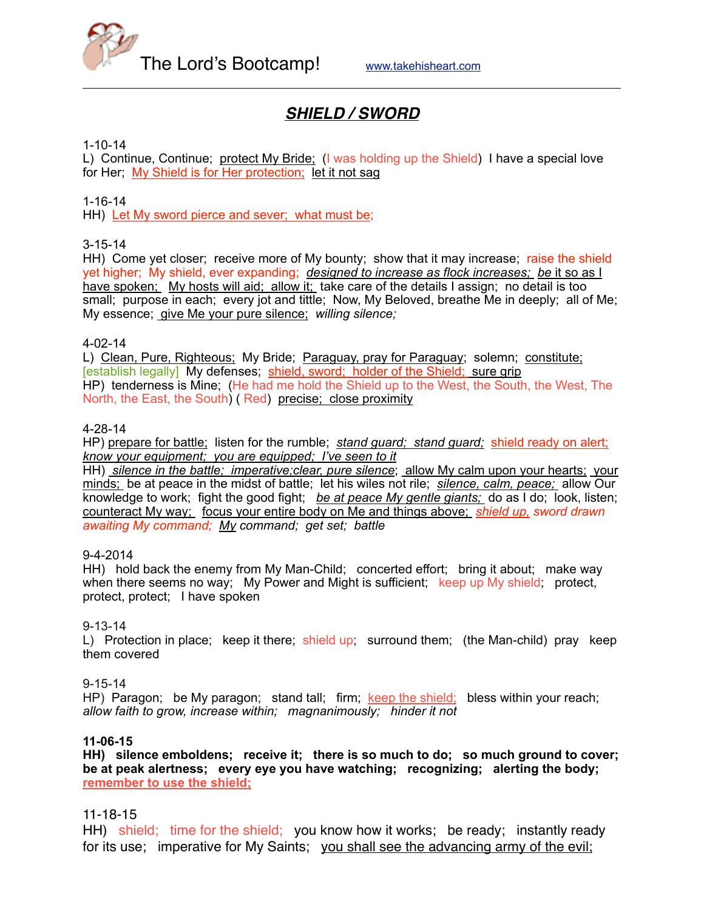

# *SHIELD / SWORD*

#### 1-10-14

L) Continue, Continue; protect My Bride; (I was holding up the Shield) I have a special love for Her; My Shield is for Her protection; let it not sag

### 1-16-14

HH) Let My sword pierce and sever; what must be;

### 3-15-14

HH) Come yet closer; receive more of My bounty; show that it may increase; raise the shield yet higher; My shield, ever expanding; *designed to increase as flock increases; be* it so as I have spoken; My hosts will aid; allow it; take care of the details I assign; no detail is too small; purpose in each; every jot and tittle; Now, My Beloved, breathe Me in deeply; all of Me; My essence; give Me your pure silence; *willing silence;*

#### 4-02-14

L) Clean, Pure, Righteous; My Bride; Paraguay, pray for Paraguay; solemn; constitute; [establish legally] My defenses; shield, sword; holder of the Shield; sure grip HP) tenderness is Mine; (He had me hold the Shield up to the West, the South, the West, The North, the East, the South) ( Red) precise; close proximity

#### 4-28-14

HP) prepare for battle; listen for the rumble; *stand guard; stand guard;* shield ready on alert; *know your equipment; you are equipped; I've seen to it*

HH) *silence in the battle; imperative;clear, pure silence*; allow My calm upon your hearts; your minds; be at peace in the midst of battle; let his wiles not rile; *silence, calm, peace;* allow Our knowledge to work; fight the good fight; *be at peace My gentle giants;* do as I do; look, listen; counteract My way; focus your entire body on Me and things above; *shield up, sword drawn awaiting My command; My command; get set; battle*

#### 9-4-2014

HH) hold back the enemy from My Man-Child; concerted effort; bring it about; make way when there seems no way; My Power and Might is sufficient; keep up My shield; protect, protect, protect; I have spoken

#### 9-13-14

L) Protection in place: keep it there; shield up; surround them; (the Man-child) pray keep them covered

#### 9-15-14

HP) Paragon; be My paragon; stand tall; firm; keep the shield; bless within your reach; *allow faith to grow, increase within; magnanimously; hinder it not*

#### **11-06-15**

**HH) silence emboldens; receive it; there is so much to do; so much ground to cover; be at peak alertness; every eye you have watching; recognizing; alerting the body; remember to use the shield;**

### 11-18-15

HH) shield; time for the shield; you know how it works; be ready; instantly ready for its use; imperative for My Saints; you shall see the advancing army of the evil;